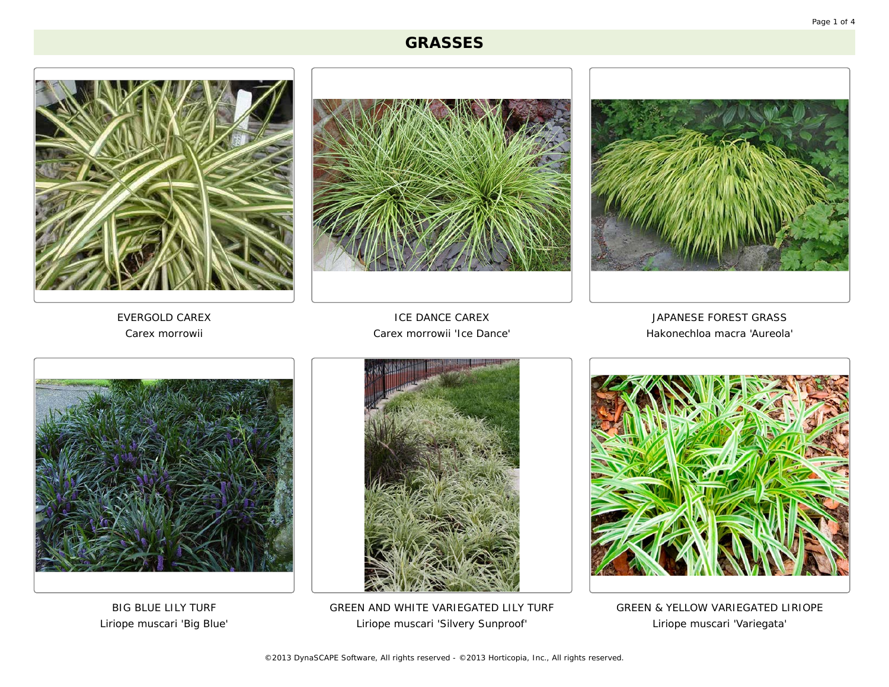## **GRASSES**







*EVERGOLD CAREX* Carex morrowii

*ICE DANCE CAREX* Carex morrowii 'Ice Dance'

*JAPANESE FOREST GRASS* Hakonechloa macra 'Aureola'



*BIG BLUE LILY TURF* Liriope muscari 'Big Blue'



*GREEN AND WHITE VARIEGATED LILY TURF* Liriope muscari 'Silvery Sunproof'



*GREEN & YELLOW VARIEGATED LIRIOPE* Liriope muscari 'Variegata'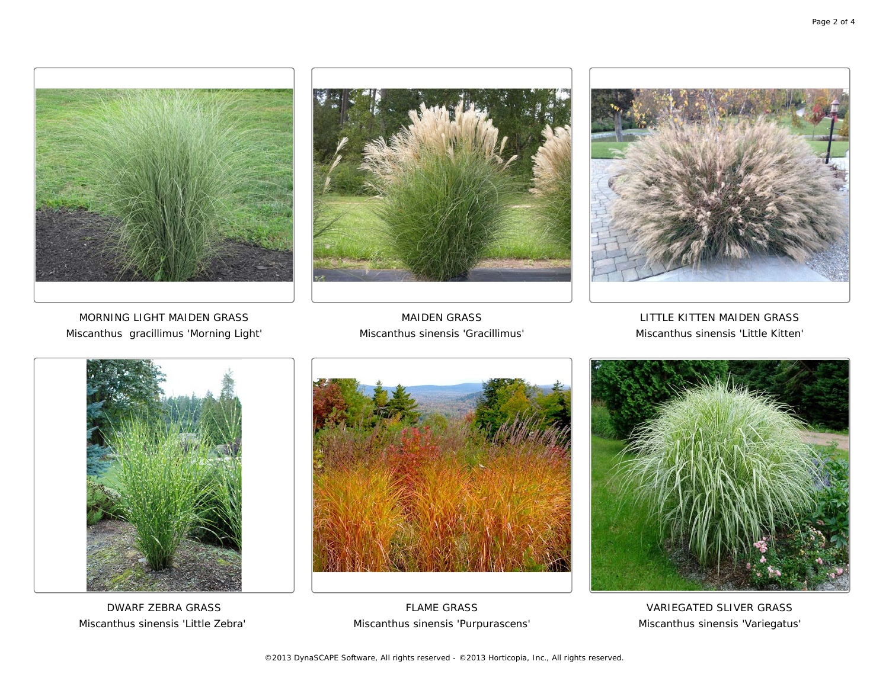





*MORNING LIGHT MAIDEN GRASS* Miscanthus gracillimus 'Morning Light'

*MAIDEN GRASS* Miscanthus sinensis 'Gracillimus'

*LITTLE KITTEN MAIDEN GRASS* Miscanthus sinensis 'Little Kitten'



*DWARF ZEBRA GRASS* Miscanthus sinensis 'Little Zebra'



*FLAME GRASS* Miscanthus sinensis 'Purpurascens'



*VARIEGATED SLIVER GRASS* Miscanthus sinensis 'Variegatus'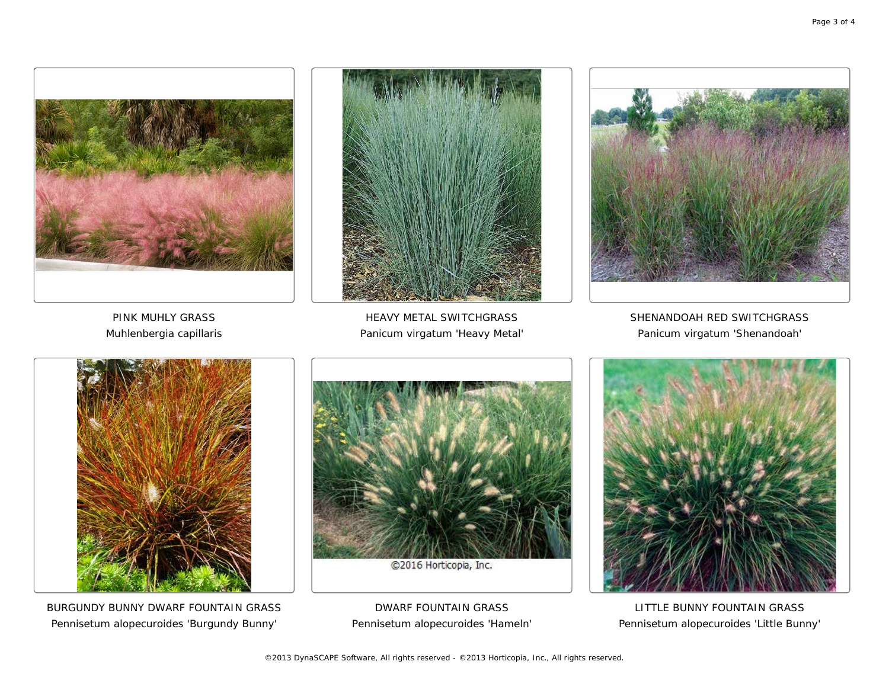





*PINK MUHLY GRASS* Muhlenbergia capillaris

*HEAVY METAL SWITCHGRASS* Panicum virgatum 'Heavy Metal'

*SHENANDOAH RED SWITCHGRASS* Panicum virgatum 'Shenandoah'



*BURGUNDY BUNNY DWARF FOUNTAIN GRASS* Pennisetum alopecuroides 'Burgundy Bunny'



*DWARF FOUNTAIN GRASS* Pennisetum alopecuroides 'Hameln'



*LITTLE BUNNY FOUNTAIN GRASS* Pennisetum alopecuroides 'Little Bunny'